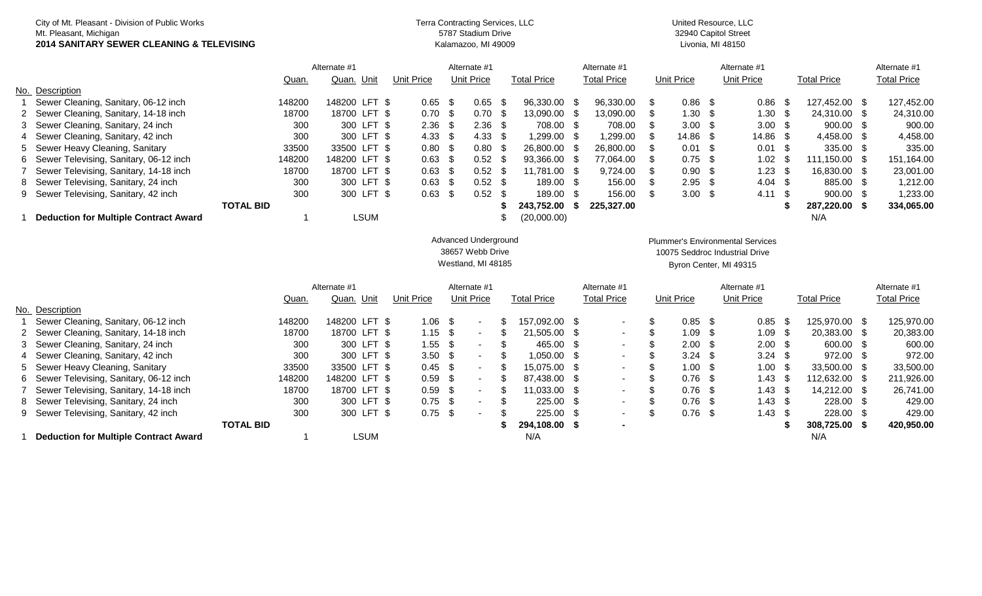| 2014 SANITARY SEWER CLEANING & TELEVISING       |  |
|-------------------------------------------------|--|
| Mt. Pleasant, Michigan                          |  |
| City of Mt. Pleasant - Division of Public Works |  |

## 5787 Stadium Drive Kalamazoo, MI 49009 Terra Contracting Services, LLC United Resource, LLC

32940 Capitol Street Livonia, MI 48150

|                                              |                  | Alternate #1  |                   | Alternate #1      |                    |  | Alternate #1       |  |                   |            | Alternate #1      |                    |  | Alternate #1 |
|----------------------------------------------|------------------|---------------|-------------------|-------------------|--------------------|--|--------------------|--|-------------------|------------|-------------------|--------------------|--|--------------|
|                                              | Quan.            | Quan. Unit    | Unit Price        | <b>Unit Price</b> | <b>Total Price</b> |  | <b>Total Price</b> |  | Unit Price        | Unit Price |                   | <b>Total Price</b> |  |              |
| No. Description                              |                  |               |                   |                   |                    |  |                    |  |                   |            |                   |                    |  |              |
| Sewer Cleaning, Sanitary, 06-12 inch         | 148200           | 148200 LFT \$ | $0.65$ \$         | $0.65$ \$         | 96,330.00 \$       |  | 96.330.00 \$       |  | $0.86$ \$         |            | 0.86 <sup>5</sup> | 127.452.00 \$      |  | 127,452.00   |
| 2 Sewer Cleaning, Sanitary, 14-18 inch       | 18700            | 18700 LFT \$  | 0.70 <sup>5</sup> | 0.70 <sup>5</sup> | 13,090.00 \$       |  | 13.090.00          |  | 1.30 <sup>5</sup> |            | 1.30 <sup>5</sup> | 24.310.00 \$       |  | 24,310.00    |
| 3 Sewer Cleaning, Sanitary, 24 inch          | 300              | 300 LFT \$    | $2.36$ \$         | $2.36$ \$         | 708.00 \$          |  | 708.00             |  | $3.00\quad$ \$    |            | 3.00 <sup>5</sup> | $900.00$ \$        |  | 900.00       |
| 4 Sewer Cleaning, Sanitary, 42 inch          | 300              | 300 LFT \$    | 4.33 <sup>5</sup> | 4.33 <sup>5</sup> | $1.299.00$ \$      |  | 1.299.00           |  | 14.86 \$          |            | $14.86$ \$        | 4,458.00 \$        |  | 4,458.00     |
| 5 Sewer Heavy Cleaning, Sanitary             | 33500            | 33500 LFT \$  | 0.80 <sup>5</sup> | 0.80 <sup>5</sup> | 26.800.00 \$       |  | 26,800,00          |  | $0.01 \quad$ \$   |            | $0.01 \quad$ \$   | 335.00 \$          |  | 335.00       |
| 6 Sewer Televising, Sanitary, 06-12 inch     | 148200           | 148200 LFT \$ | $0.63$ \$         | $0.52$ \$         | 93,366.00 \$       |  | 77,064.00 \$       |  | $0.75$ \$         |            | $1.02$ \$         | 111,150.00 \$      |  | 151,164.00   |
| 7 Sewer Televising, Sanitary, 14-18 inch     | 18700            | 18700 LFT \$  | $0.63$ \$         | $0.52$ \$         | 11.781.00 \$       |  | $9.724.00$ \$      |  | $0.90 \quad$ \$   |            | 1.23 <sup>5</sup> | 16.830.00 \$       |  | 23,001.00    |
| 8 Sewer Televising, Sanitary, 24 inch        | 300              | 300 LFT \$    | $0.63$ \$         | $0.52 \quad$ \$   | 189.00 \$          |  | 156.00 \$          |  | $2.95$ \$         |            | $4.04 \text{ } $$ | 885.00 \$          |  | 1,212.00     |
| 9 Sewer Televising, Sanitary, 42 inch        | 300              | 300 LFT \$    | $0.63 \quad$ \$   | $0.52$ \$         | 189.00 \$          |  | 156.00 \$          |  | $3.00\quad$ \$    |            | $4.11 \quad$ \$   | $900.00$ \$        |  | 1,233.00     |
|                                              | <b>TOTAL BID</b> |               |                   |                   | 243.752.00         |  | 225,327,00         |  |                   |            |                   | 287.220.00         |  | 334,065.00   |
| <b>Deduction for Multiple Contract Award</b> |                  | ∟SUM          |                   |                   | (20,000.00)        |  |                    |  |                   |            |                   | N/A                |  |              |

## Advanced Underground 38657 Webb Drive Westland, MI 48185

Byron Center, MI 49315 Plummer's Environmental Services 10075 Seddroc Industrial Drive

|                                              | Alternate #1     |               | Alternate #1      |                                  |  |               | Alternate #1       |        |                   |                    | Alternate #1 |                    |                    | Alternate #1  |                    |
|----------------------------------------------|------------------|---------------|-------------------|----------------------------------|--|---------------|--------------------|--------|-------------------|--------------------|--------------|--------------------|--------------------|---------------|--------------------|
|                                              | Quan.            | Quan.<br>Unit | Unit Price        | Unit Price<br><b>Total Price</b> |  |               | <b>Total Price</b> |        | <b>Unit Price</b> |                    | Unit Price   |                    | <b>Total Price</b> |               | <b>Total Price</b> |
| No. Description                              |                  |               |                   |                                  |  |               |                    |        |                   |                    |              |                    |                    |               |                    |
| Sewer Cleaning, Sanitary, 06-12 inch         | 148200           | 148200 LFT \$ | 1.06              | - \$                             |  | 157.092.00 \$ |                    | $\sim$ |                   | $0.85$ \$          |              | $0.85$ \$          |                    | 125,970.00 \$ | 125,970.00         |
| 2 Sewer Cleaning, Sanitary, 14-18 inch       | 18700            | 18700 LFT \$  | $1.15$ \$         | $\overline{\phantom{0}}$         |  | 21.505.00 \$  |                    | $\sim$ |                   | 1.09 S             |              | $1.09$ \$          |                    | 20,383.00 \$  | 20,383.00          |
| 3 Sewer Cleaning, Sanitary, 24 inch          | 300              | 300 LFT \$    | 1.55              | - 35                             |  | 465.00 \$     |                    | $\sim$ |                   | $2.00\quad$ \$     |              | $2.00 \text{ }$ \$ |                    | 600.00 \$     | 600.00             |
| 4 Sewer Cleaning, Sanitary, 42 inch          | 300              | 300 LFT \$    | 3.50 <sup>5</sup> | $\overline{\phantom{0}}$         |  | 1.050.00 \$   |                    | $\sim$ |                   | $3.24$ \$          |              | $3.24$ \$          |                    | 972.00 \$     | 972.00             |
| 5 Sewer Heavy Cleaning, Sanitary             | 33500            | 33500 LFT \$  | $0.45 \quad$ \$   | $\sim$                           |  | 15.075.00 \$  |                    | $\sim$ |                   | $1.00 \text{ }$ \$ |              | 1.00 <sup>5</sup>  |                    | 33,500,00 \$  | 33,500.00          |
| 6 Sewer Televising, Sanitary, 06-12 inch     | 148200           | 148200 LFT \$ | $0.59$ \$         | $\,$ $\,$                        |  | 87.438.00 \$  |                    | $\sim$ |                   | $0.76$ \$          |              | $1.43 \quad$ \$    |                    | 112,632.00 \$ | 211,926.00         |
| 7 Sewer Televising, Sanitary, 14-18 inch     | 18700            | 18700 LFT \$  | $0.59$ \$         | $\overline{\phantom{0}}$         |  | 11.033.00 \$  |                    | $\sim$ |                   | $0.76$ \$          |              | $1.43 \quad$ \$    |                    | 14,212.00 \$  | 26,741.00          |
| 8 Sewer Televising, Sanitary, 24 inch        | 300              | 300 LFT \$    | $0.75$ \$         | $\sim$                           |  | 225.00 \$     |                    | $\sim$ |                   | $0.76$ \$          |              | $1.43 \quad$ \$    |                    | 228.00 \$     | 429.00             |
| 9 Sewer Televising, Sanitary, 42 inch        | 300              | 300 LFT \$    | $0.75$ \$         |                                  |  | 225.00 \$     |                    | $\sim$ |                   | $0.76$ \$          |              | $1.43 \quad$ \$    |                    | 228.00 \$     | 429.00             |
|                                              | <b>TOTAL BID</b> |               |                   |                                  |  | 294.108.00 \$ |                    | $\sim$ |                   |                    |              |                    |                    | 308.725.00 \$ | 420,950.00         |
| <b>Deduction for Multiple Contract Award</b> |                  | LSUM          |                   |                                  |  | N/A           |                    |        |                   |                    |              |                    |                    | N/A           |                    |